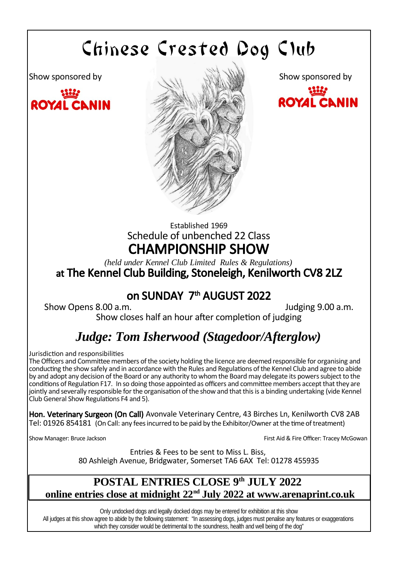# Chinese Crested Dog Club





ROYAL CLNIN

# Established 1969 Schedule of unbenched 22 Class CHAMPIONSHIP SHOW

*(held under Kennel Club Limited Rules & Regulations)* at The Kennel Club Building, Stoneleigh, Kenilworth CV8 2LZ

# on SUNDAY 7<sup>th</sup> AUGUST 2022

Show Opens 8.00 a.m. Judging 9.00 a.m.

Show closes half an hour after completion of judging

# *Judge: Tom Isherwood (Stagedoor/Afterglow)*

Jurisdiction and responsibilities

The Officers and Committee members of the society holding the licence are deemed responsible for organising and conducting the show safely and in accordance with the Rules and Regulations of the Kennel Club and agree to abide by and adopt any decision of the Board or any authority to whom the Board may delegate its powers subject to the conditions of Regulation F17. In so doing those appointed as officers and committee members accept that they are jointly and severally responsible for the organisation of the show and that this is a binding undertaking (vide Kennel Club General Show Regulations F4 and 5).

Hon. Veterinary Surgeon (On Call) Avonvale Veterinary Centre, 43 Birches Ln, Kenilworth CV8 2AB Tel: 01926 854181 (On Call: any fees incurred to be paid by the Exhibitor/Owner at the time of treatment)

Show Manager: Bruce Jackson First Aid & Fire Officer: Tracey McGowan

Entries & Fees to be sent to Miss L. Biss, 80 Ashleigh Avenue, Bridgwater, Somerset TA6 6AX Tel: 01278 455935

# **POSTAL ENTRIES CLOSE 9 th JULY 2022 online entries close at midnight 22nd July 2022 at www.arenaprint.co.uk**

Only undocked dogs and legally docked dogs may be entered for exhibition at this show All judges at this show agree to abide by the following statement: "In assessing dogs, judges must penalise any features or exaggerations which they consider would be detrimental to the soundness, health and well being of the dog"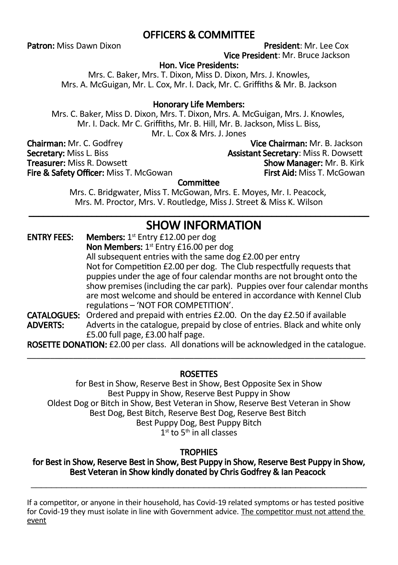# OFFICERS & COMMITTEE

Patron: Miss Dawn Dixon **President: Mr. Lee Cox** 

Vice President: Mr. Bruce Jackson

### Hon. Vice Presidents:

Mrs. C. Baker, Mrs. T. Dixon, Miss D. Dixon, Mrs. J. Knowles, Mrs. A. McGuigan, Mr. L. Cox, Mr. I. Dack, Mr. C. Griffiths & Mr. B. Jackson

### Honorary Life Members:

Mrs. C. Baker, Miss D. Dixon, Mrs. T. Dixon, Mrs. A. McGuigan, Mrs. J. Knowles, Mr. I. Dack. Mr C. Griffiths, Mr. B. Hill, Mr. B. Jackson, Miss L. Biss, Mr. L. Cox & Mrs. J. Jones

Secretary: Miss L. Biss Assistant Secretary: Miss R. Dowsett<br>Treasurer: Miss R. Dowsett Assistant Show Manager: Mr. B. Kirk Fire & Safety Officer: Miss T. McGowan

**Chairman:** Mr. C. Godfrey **Vice Chairman: Mr. B. Jackson**<br> **Secretary: Miss L. Biss Vice Chairman: Mr. B. Jackson** Show Manager: Mr. B. Kirk<br>First Aid: Miss T. McGowan

### **Committee**

Mrs. C. Bridgwater, Miss T. McGowan, Mrs. E. Moyes, Mr. I. Peacock, Mrs. M. Proctor, Mrs. V. Routledge, Miss J. Street & Miss K. Wilson \_\_\_\_\_\_\_\_\_\_\_\_\_\_\_\_\_\_\_\_\_\_\_\_\_\_\_\_\_\_\_\_\_\_\_\_\_\_\_\_\_\_\_\_\_\_\_\_\_\_\_\_\_\_\_\_\_\_\_\_\_\_\_\_\_\_\_\_\_\_

# SHOW INFORMATION

**ENTRY FEES:** Members:  $1^{st}$  Entry £12.00 per dog Non Members: 1<sup>st</sup> Entry £16.00 per dog All subsequent entries with the same dog £2.00 per entry Not for Competition £2.00 per dog. The Club respectfully requests that puppies under the age of four calendar months are not brought onto the show premises (including the car park). Puppies over four calendar months are most welcome and should be entered in accordance with Kennel Club regulations – 'NOT FOR COMPETITION'. **CATALOGUES:** Ordered and prepaid with entries £2.00. On the day £2.50 if available **ADVERTS:** Adverts in the catalogue, prepaid by close of entries. Black and white c Adverts in the catalogue, prepaid by close of entries. Black and white only £5.00 full page, £3.00 half page.

ROSETTE DONATION: £2.00 per class. All donations will be acknowledged in the catalogue. \_\_\_\_\_\_\_\_\_\_\_\_\_\_\_\_\_\_\_\_\_\_\_\_\_\_\_\_\_\_\_\_\_\_\_\_\_\_\_\_\_\_\_\_\_\_\_\_\_\_\_\_\_\_\_\_\_\_\_\_\_\_\_\_\_\_\_\_\_\_\_\_\_

### **ROSETTES**

for Best in Show, Reserve Best in Show, Best Opposite Sex in Show Best Puppy in Show, Reserve Best Puppy in Show Oldest Dog or Bitch in Show, Best Veteran in Show, Reserve Best Veteran in Show Best Dog, Best Bitch, Reserve Best Dog, Reserve Best Bitch Best Puppy Dog, Best Puppy Bitch  $1<sup>st</sup>$  to  $5<sup>th</sup>$  in all classes

### **TROPHIES**

for Best in Show, Reserve Best in Show, Best Puppy in Show, Reserve Best Puppy in Show, Best Veteran in Show kindly donated by Chris Godfrey & Ian Peacock \_\_\_\_\_\_\_\_\_\_\_\_\_\_\_\_\_\_\_\_\_\_\_\_\_\_\_\_\_\_\_\_\_\_\_\_\_\_\_\_\_\_\_\_\_\_\_\_\_\_\_\_\_\_\_\_\_\_\_\_\_\_\_\_\_\_

If a competitor, or anyone in their household, has Covid-19 related symptoms or has tested positive for Covid-19 they must isolate in line with Government advice. The competitor must not attend the event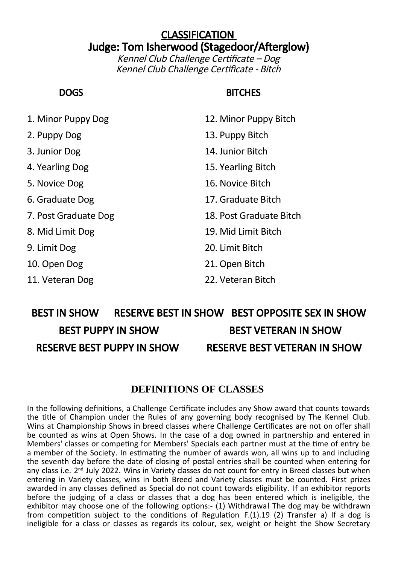# **CLASSIFICATION** Judge: Tom Isherwood (Stagedoor/Afterglow)

Kennel Club Challenge Certificate – Dog Kennel Club Challenge Certificate - Bitch

# DOGS BITCHES

1. Minor Puppy Dog 12. Minor Puppy Bitch 2. Puppy Dog 13. Puppy Bitch 3. Junior Dog 14. Junior Bitch 4. Yearling Dog 15. Yearling Bitch 5. Novice Dog 16. Novice Bitch 6. Graduate Dog 17. Graduate Bitch 7. Post Graduate Dog 18. Post Graduate Bitch 8. Mid Limit Dog 19. Mid Limit Bitch 9. Limit Dog 20. Limit Bitch 10. Open Dog 21. Open Bitch 11. Veteran Dog 22. Veteran Bitch

# BEST IN SHOW RESERVE BEST IN SHOW BEST OPPOSITE SEX IN SHOW BEST PUPPY IN SHOW BEST VETERAN IN SHOW RESERVE BEST PUPPY IN SHOW RESERVE BEST VETERAN IN SHOW

## **DEFINITIONS OF CLASSES**

In the following definitions, a Challenge Certificate includes any Show award that counts towards the title of Champion under the Rules of any governing body recognised by The Kennel Club. Wins at Championship Shows in breed classes where Challenge Certificates are not on offer shall be counted as wins at Open Shows. In the case of a dog owned in partnership and entered in Members' classes or competing for Members' Specials each partner must at the time of entry be a member of the Society. In estimating the number of awards won, all wins up to and including the seventh day before the date of closing of postal entries shall be counted when entering for any class i.e. 2<sup>nd</sup> July 2022. Wins in Variety classes do not count for entry in Breed classes but when entering in Variety classes, wins in both Breed and Variety classes must be counted. First prizes awarded in any classes defined as Special do not count towards eligibility. If an exhibitor reports before the judging of a class or classes that a dog has been entered which is ineligible, the exhibitor may choose one of the following options:- (1) Withdrawal The dog may be withdrawn from competition subject to the conditions of Regulation F.(1).19 (2) Transfer a) If a dog is ineligible for a class or classes as regards its colour, sex, weight or height the Show Secretary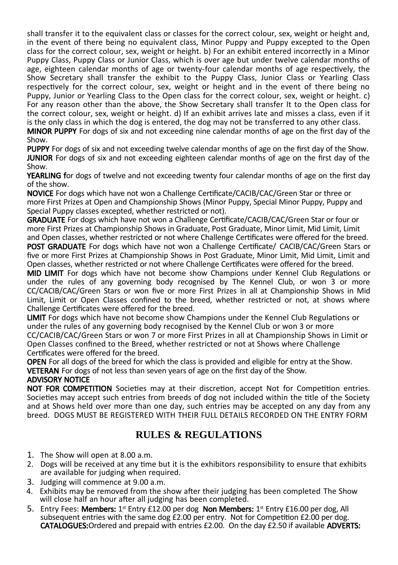shall transfer it to the equivalent class or classes for the correct colour, sex, weight or height and, in the event of there being no equivalent class, Minor Puppy and Puppy excepted to the Open class for the correct colour, sex, weight or height. b) For an exhibit entered incorrectly in a Minor Puppy Class, Puppy Class or Junior Class, which is over age but under twelve calendar months of age, eighteen calendar months of age or twenty-four calendar months of age respectively, the Show Secretary shall transfer the exhibit to the Puppy Class, Junior Class or Yearling Class respectively for the correct colour, sex, weight or height and in the event of there being no Puppy, Junior or Yearling Class to the Open class for the correct colour, sex, weight or height. c) For any reason other than the above, the Show Secretary shall transfer It to the Open class for the correct colour, sex, weight or height. d) If an exhibit arrives late and misses a class, even if it is the only class in which the dog is entered, the dog may not be transferred to any other class. MINOR PUPPY For dogs of six and not exceeding nine calendar months of age on the first day of the

### Show.

PUPPY For dogs of six and not exceeding twelve calendar months of age on the first day of the Show. **JUNIOR** For dogs of six and not exceeding eighteen calendar months of age on the first day of the Show.

YEARLING for dogs of twelve and not exceeding twenty four calendar months of age on the first day of the show.

NOVICE For dogs which have not won a Challenge Certificate/CACIB/CAC/Green Star or three or more First Prizes at Open and Championship Shows (Minor Puppy, Special Minor Puppy, Puppy and Special Puppy classes excepted, whether restricted or not).

GRADUATE For dogs which have not won a Challenge Certificate/CACIB/CAC/Green Star or four or more First Prizes at Championship Shows in Graduate, Post Graduate, Minor Limit, Mid Limit, Limit and Open classes, whether restricted or not where Challenge Certificates were offered for the breed.

POST GRADUATE For dogs which have not won a Challenge Certificate/ CACIB/CAC/Green Stars or five or more First Prizes at Championship Shows in Post Graduate, Minor Limit, Mid Limit, Limit and Open classes, whether restricted or not where Challenge Certificates were offered for the breed.

MID LIMIT For dogs which have not become show Champions under Kennel Club Regulations or under the rules of any governing body recognised by The Kennel Club, or won 3 or more CC/CACIB/CAC/Green Stars or won five or more First Prizes in all at Championship Shows in Mid Limit, Limit or Open Classes confined to the breed, whether restricted or not, at shows where Challenge Certificates were offered for the breed.

LIMIT For dogs which have not become show Champions under the Kennel Club Regulations or under the rules of any governing body recognised by the Kennel Club or won 3 or more CC/CACIB/CAC/Green Stars or won 7 or more First Prizes in all at Championship Shows in Limit or Open Classes confined to the Breed, whether restricted or not at Shows where Challenge Certificates were offered for the breed.

OPEN For all dogs of the breed for which the class is provided and eligible for entry at the Show. VETERAN For dogs of not less than seven years of age on the first day of the Show.

# ADVISORY NOTICE

NOT FOR COMPETITION Societies may at their discretion, accept Not for Competition entries. Societies may accept such entries from breeds of dog not included within the title of the Society and at Shows held over more than one day, such entries may be accepted on any day from any breed. DOGS MUST BE REGISTERED WITH THEIR FULL DETAILS RECORDED ON THE ENTRY FORM

# **RULES & REGULATIONS**

- 1. The Show will open at 8.00 a.m.
- 2. Dogs will be received at any time but it is the exhibitors responsibility to ensure that exhibits are available for judging when required.
- 3. Judging will commence at 9.00 a.m.
- 4. Exhibits may be removed from the show after their judging has been completed The Show will close half an hour after all judging has been completed.
- 5. Entry Fees: Members: 1st Entry £12.00 per dog Non Members: 1st Entry £16.00 per dog, All subsequent entries with the same dog £2.00 per entry. Not for Competition £2.00 per dog. CATALOGUES:Ordered and prepaid with entries £2.00. On the day £2.50 if available ADVERTS: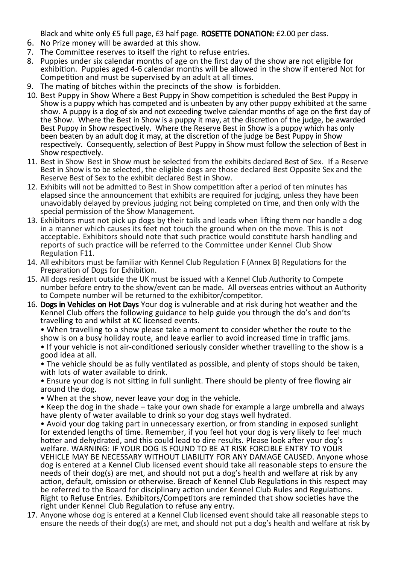Black and white only £5 full page, £3 half page. ROSETTE DONATION: £2.00 per class.

- 6. No Prize money will be awarded at this show.
- 7. The Committee reserves to itself the right to refuse entries.
- 8. Puppies under six calendar months of age on the first day of the show are not eligible for exhibition. Puppies aged 4-6 calendar months will be allowed in the show if entered Not for Competition and must be supervised by an adult at all times.
- 9. The mating of bitches within the precincts of the show is forbidden.
- 10. Best Puppy in Show Where a Best Puppy in Show competition is scheduled the Best Puppy in Show is a puppy which has competed and is unbeaten by any other puppy exhibited at the same show. A puppy is a dog of six and not exceeding twelve calendar months of age on the first day of the Show. Where the Best in Show is a puppy it may, at the discretion of the judge, be awarded Best Puppy in Show respectively. Where the Reserve Best in Show is a puppy which has only been beaten by an adult dog it may, at the discretion of the judge be Best Puppy in Show respectively. Consequently, selection of Best Puppy in Show must follow the selection of Best in Show respectively.
- 11. Best in Show Best in Show must be selected from the exhibits declared Best of Sex. If a Reserve Best in Show is to be selected, the eligible dogs are those declared Best Opposite Sex and the Reserve Best of Sex to the exhibit declared Best in Show.
- 12. Exhibits will not be admitted to Best in Show competition after a period of ten minutes has elapsed since the announcement that exhibits are required for judging, unless they have been unavoidably delayed by previous judging not being completed on time, and then only with the special permission of the Show Management.
- 13. Exhibitors must not pick up dogs by their tails and leads when lifting them nor handle a dog in a manner which causes its feet not touch the ground when on the move. This is not acceptable. Exhibitors should note that such practice would constitute harsh handling and reports of such practice will be referred to the Committee under Kennel Club Show Regulation F11.
- 14. All exhibitors must be familiar with Kennel Club Regulation F (Annex B) Regulations for the Preparation of Dogs for Exhibition.
- 15. All dogs resident outside the UK must be issued with a Kennel Club Authority to Compete number before entry to the show/event can be made. All overseas entries without an Authority to Compete number will be returned to the exhibitor/competitor.
- 16. Dogs in Vehicles on Hot Days Your dog is vulnerable and at risk during hot weather and the Kennel Club offers the following guidance to help guide you through the do's and don'ts travelling to and whilst at KC licensed events.

• When travelling to a show please take a moment to consider whether the route to the show is on a busy holiday route, and leave earlier to avoid increased time in traffic jams.

• If your vehicle is not air-conditioned seriously consider whether travelling to the show is a good idea at all.

• The vehicle should be as fully ventilated as possible, and plenty of stops should be taken, with lots of water available to drink.

• Ensure your dog is not sitting in full sunlight. There should be plenty of free flowing air around the dog.

• When at the show, never leave your dog in the vehicle.

• Keep the dog in the shade – take your own shade for example a large umbrella and always have plenty of water available to drink so your dog stays well hydrated.

• Avoid your dog taking part in unnecessary exertion, or from standing in exposed sunlight for extended lengths of time. Remember, if you feel hot your dog is very likely to feel much hotter and dehydrated, and this could lead to dire results. Please look after your dog's welfare. WARNING: IF YOUR DOG IS FOUND TO BE AT RISK FORCIBLE ENTRY TO YOUR VEHICLE MAY BE NECESSARY WITHOUT LIABILITY FOR ANY DAMAGE CAUSED. Anyone whose dog is entered at a Kennel Club licensed event should take all reasonable steps to ensure the needs of their dog(s) are met, and should not put a dog's health and welfare at risk by any action, default, omission or otherwise. Breach of Kennel Club Regulations in this respect may be referred to the Board for disciplinary action under Kennel Club Rules and Regulations. Right to Refuse Entries. Exhibitors/Competitors are reminded that show societies have the right under Kennel Club Regulation to refuse any entry.

17. Anyone whose dog is entered at a Kennel Club licensed event should take all reasonable steps to ensure the needs of their dog(s) are met, and should not put a dog's health and welfare at risk by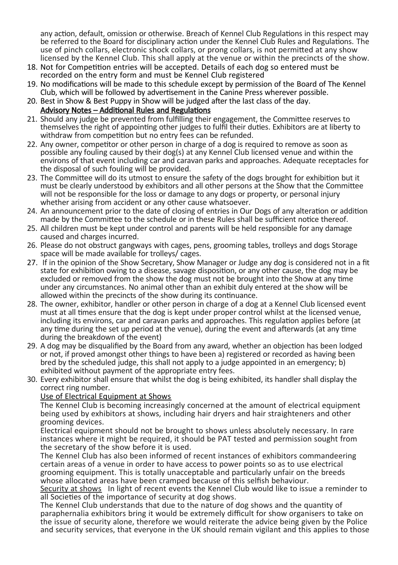any action, default, omission or otherwise. Breach of Kennel Club Regulations in this respect may be referred to the Board for disciplinary action under the Kennel Club Rules and Regulations. The use of pinch collars, electronic shock collars, or prong collars, is not permitted at any show licensed by the Kennel Club. This shall apply at the venue or within the precincts of the show.

- 18. Not for Competition entries will be accepted. Details of each dog so entered must be recorded on the entry form and must be Kennel Club registered
- 19. No modifications will be made to this schedule except by permission of the Board of The Kennel Club, which will be followed by advertisement in the Canine Press wherever possible.
- 20. Best in Show & Best Puppy in Show will be judged after the last class of the day.

### Advisory Notes – Additional Rules and Regulations

- 21. Should any judge be prevented from fulfilling their engagement, the Committee reserves to themselves the right of appointing other judges to fulfil their duties. Exhibitors are at liberty to withdraw from competition but no entry fees can be refunded.
- 22. Any owner, competitor or other person in charge of a dog is required to remove as soon as possible any fouling caused by their dog(s) at any Kennel Club licensed venue and within the environs of that event including car and caravan parks and approaches. Adequate receptacles for the disposal of such fouling will be provided.
- 23. The Committee will do its utmost to ensure the safety of the dogs brought for exhibition but it must be clearly understood by exhibitors and all other persons at the Show that the Committee will not be responsible for the loss or damage to any dogs or property, or personal injury whether arising from accident or any other cause whatsoever.
- 24. An announcement prior to the date of closing of entries in Our Dogs of any alteration or addition made by the Committee to the schedule or in these Rules shall be sufficient notice thereof.
- 25. All children must be kept under control and parents will be held responsible for any damage caused and charges incurred.
- 26. Please do not obstruct gangways with cages, pens, grooming tables, trolleys and dogs Storage space will be made available for trolleys/ cages.
- 27. If in the opinion of the Show Secretary, Show Manager or Judge any dog is considered not in a fit state for exhibition owing to a disease, savage disposition, or any other cause, the dog may be excluded or removed from the show the dog must not be brought into the Show at any time under any circumstances. No animal other than an exhibit duly entered at the show will be allowed within the precincts of the show during its continuance.
- 28. The owner, exhibitor, handler or other person in charge of a dog at a Kennel Club licensed event must at all times ensure that the dog is kept under proper control whilst at the licensed venue, including its environs, car and caravan parks and approaches. This regulation applies before (at any time during the set up period at the venue), during the event and afterwards (at any time during the breakdown of the event)
- 29. A dog may be disqualified by the Board from any award, whether an objection has been lodged or not, if proved amongst other things to have been a) registered or recorded as having been bred by the scheduled judge, this shall not apply to a judge appointed in an emergency; b) exhibited without payment of the appropriate entry fees.
- 30. Every exhibitor shall ensure that whilst the dog is being exhibited, its handler shall display the correct ring number.

### Use of Electrical Equipment at Shows

The Kennel Club is becoming increasingly concerned at the amount of electrical equipment being used by exhibitors at shows, including hair dryers and hair straighteners and other grooming devices.

Electrical equipment should not be brought to shows unless absolutely necessary. In rare instances where it might be required, it should be PAT tested and permission sought from the secretary of the show before it is used.

The Kennel Club has also been informed of recent instances of exhibitors commandeering certain areas of a venue in order to have access to power points so as to use electrical grooming equipment. This is totally unacceptable and particularly unfair on the breeds whose allocated areas have been cramped because of this selfish behaviour.

Security at shows In light of recent events the Kennel Club would like to issue a reminder to all Societies of the importance of security at dog shows.

The Kennel Club understands that due to the nature of dog shows and the quantity of paraphernalia exhibitors bring it would be extremely difficult for show organisers to take on the issue of security alone, therefore we would reiterate the advice being given by the Police and security services, that everyone in the UK should remain vigilant and this applies to those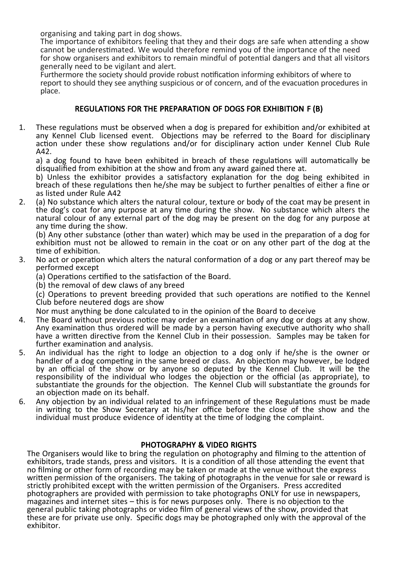organising and taking part in dog shows.

The importance of exhibitors feeling that they and their dogs are safe when attending a show cannot be underestimated. We would therefore remind you of the importance of the need for show organisers and exhibitors to remain mindful of potential dangers and that all visitors generally need to be vigilant and alert.

Furthermore the society should provide robust notification informing exhibitors of where to report to should they see anything suspicious or of concern, and of the evacuation procedures in place.

## REGULATIONS FOR THE PREPARATION OF DOGS FOR EXHIBITION F (B)

1. These regulations must be observed when a dog is prepared for exhibition and/or exhibited at any Kennel Club licensed event. Objections may be referred to the Board for disciplinary action under these show regulations and/or for disciplinary action under Kennel Club Rule A42.

a) a dog found to have been exhibited in breach of these regulations will automatically be disqualified from exhibition at the show and from any award gained there at.

b) Unless the exhibitor provides a satisfactory explanation for the dog being exhibited in breach of these regulations then he/she may be subject to further penalties of either a fine or as listed under Rule A42

2. (a) No substance which alters the natural colour, texture or body of the coat may be present in the dog's coat for any purpose at any time during the show. No substance which alters the natural colour of any external part of the dog may be present on the dog for any purpose at any time during the show.

(b) Any other substance (other than water) which may be used in the preparation of a dog for exhibition must not be allowed to remain in the coat or on any other part of the dog at the time of exhibition.

3. No act or operation which alters the natural conformation of a dog or any part thereof may be performed except

(a) Operations certified to the satisfaction of the Board.

(b) the removal of dew claws of any breed

(c) Operations to prevent breeding provided that such operations are notified to the Kennel Club before neutered dogs are show

Nor must anything be done calculated to in the opinion of the Board to deceive

- 4. The Board without previous notice may order an examination of any dog or dogs at any show. Any examination thus ordered will be made by a person having executive authority who shall have a written directive from the Kennel Club in their possession. Samples may be taken for further examination and analysis.
- 5. An individual has the right to lodge an objection to a dog only if he/she is the owner or handler of a dog competing in the same breed or class. An objection may however, be lodged by an official of the show or by anyone so deputed by the Kennel Club. It will be the responsibility of the individual who lodges the objection or the official (as appropriate), to substantiate the grounds for the objection. The Kennel Club will substantiate the grounds for an objection made on its behalf.
- 6. Any objection by an individual related to an infringement of these Regulations must be made in writing to the Show Secretary at his/her office before the close of the show and the individual must produce evidence of identity at the time of lodging the complaint.

### PHOTOGRAPHY & VIDEO RIGHTS

The Organisers would like to bring the regulation on photography and filming to the attention of exhibitors, trade stands, press and visitors. It is a condition of all those attending the event that no filming or other form of recording may be taken or made at the venue without the express written permission of the organisers. The taking of photographs in the venue for sale or reward is strictly prohibited except with the written permission of the Organisers. Press accredited photographers are provided with permission to take photographs ONLY for use in newspapers, magazines and internet sites – this is for news purposes only. There is no objection to the general public taking photographs or video film of general views of the show, provided that these are for private use only. Specific dogs may be photographed only with the approval of the exhibitor.